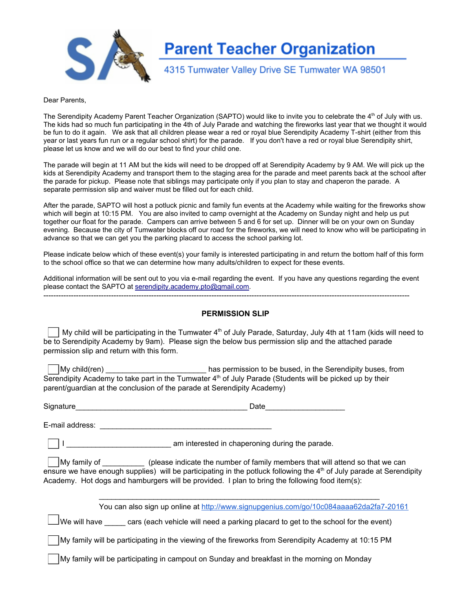

# **Parent Teacher Organization**

## 4315 Tumwater Valley Drive SE Tumwater WA 98501

#### Dear Parents,

The Serendipity Academy Parent Teacher Organization (SAPTO) would like to invite you to celebrate the 4<sup>th</sup> of July with us. The kids had so much fun participating in the 4th of July Parade and watching the fireworks last year that we thought it would be fun to do it again. We ask that all children please wear a red or royal blue Serendipity Academy T-shirt (either from this year or last years fun run or a regular school shirt) for the parade. If you don't have a red or royal blue Serendipity shirt, please let us know and we will do our best to find your child one.

The parade will begin at 11 AM but the kids will need to be dropped off at Serendipity Academy by 9 AM. We will pick up the kids at Serendipity Academy and transport them to the staging area for the parade and meet parents back at the school after the parade for pickup. Please note that siblings may participate only if you plan to stay and chaperon the parade. A separate permission slip and waiver must be filled out for each child.

After the parade, SAPTO will host a potluck picnic and family fun events at the Academy while waiting for the fireworks show which will begin at 10:15 PM. You are also invited to camp overnight at the Academy on Sunday night and help us put together our float for the parade. Campers can arrive between 5 and 6 for set up. Dinner will be on your own on Sunday evening. Because the city of Tumwater blocks off our road for the fireworks, we will need to know who will be participating in advance so that we can get you the parking placard to access the school parking lot.

Please indicate below which of these event(s) your family is interested participating in and return the bottom half of this form to the school office so that we can determine how many adults/children to expect for these events.

Additional information will be sent out to you via e-mail regarding the event. If you have any questions regarding the event please contact the SAPTO at [serendipity.academy.pto@gmail.com.](mailto:serendipity.academy.pto@gmail.com)

#### **PERMISSION SLIP**

My child will be participating in the Tumwater 4<sup>th</sup> of July Parade, Saturday, July 4th at 11am (kids will need to be to Serendipity Academy by 9am). Please sign the below bus permission slip and the attached parade permission slip and return with this form.

My child(ren) \_\_\_\_\_\_\_\_\_\_\_\_\_\_\_\_\_\_\_\_\_\_\_\_ has permission to be bused, in the Serendipity buses, from Serendipity Academy to take part in the Tumwater  $4<sup>th</sup>$  of July Parade (Students will be picked up by their parent/guardian at the conclusion of the parade at Serendipity Academy)

| Signature | Jate |
|-----------|------|
|           |      |

Email address: \_\_\_\_\_\_\_\_\_\_\_\_\_\_\_\_\_\_\_\_\_\_\_\_\_\_\_\_\_\_\_\_\_\_\_\_\_\_\_\_\_

I am interested in chaperoning during the parade.

My family of \_\_\_\_\_\_\_\_\_\_ (please indicate the number of family members that will attend so that we can ensure we have enough supplies) will be participating in the potluck following the 4<sup>th</sup> of July parade at Serendipity Academy. Hot dogs and hamburgers will be provided. I plan to bring the following food item(s):

 $\mathcal{L}_\mathcal{L} = \mathcal{L}_\mathcal{L} = \mathcal{L}_\mathcal{L} = \mathcal{L}_\mathcal{L} = \mathcal{L}_\mathcal{L} = \mathcal{L}_\mathcal{L} = \mathcal{L}_\mathcal{L} = \mathcal{L}_\mathcal{L} = \mathcal{L}_\mathcal{L} = \mathcal{L}_\mathcal{L} = \mathcal{L}_\mathcal{L} = \mathcal{L}_\mathcal{L} = \mathcal{L}_\mathcal{L} = \mathcal{L}_\mathcal{L} = \mathcal{L}_\mathcal{L} = \mathcal{L}_\mathcal{L} = \mathcal{L}_\mathcal{L}$ 

You can also sign up online at http://www.signupgenius.com/go/10c084aaaa62da2fa7-20161

 $\Box$ We will have cars (each vehicle will need a parking placard to get to the school for the event)

My family will be participating in the viewing of the fireworks from Serendipity Academy at 10:15 PM

My family will be participating in campout on Sunday and breakfast in the morning on Monday